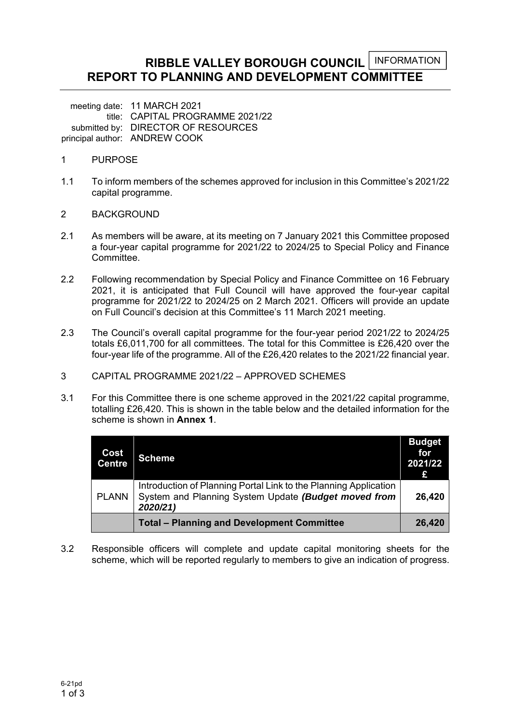#### **RIBBLE VALLEY BOROUGH COUNCIL REPORT TO PLANNING AND DEVELOPMENT COMMITTEE**  INFORMATION

meeting date: 11 MARCH 2021 title: CAPITAL PROGRAMME 2021/22 submitted by: DIRECTOR OF RESOURCES principal author: ANDREW COOK

- 1 PURPOSE
- 1.1 To inform members of the schemes approved for inclusion in this Committee's 2021/22 capital programme.
- 2 BACKGROUND
- 2.1 As members will be aware, at its meeting on 7 January 2021 this Committee proposed a four-year capital programme for 2021/22 to 2024/25 to Special Policy and Finance Committee.
- 2.2 Following recommendation by Special Policy and Finance Committee on 16 February 2021, it is anticipated that Full Council will have approved the four-year capital programme for 2021/22 to 2024/25 on 2 March 2021. Officers will provide an update on Full Council's decision at this Committee's 11 March 2021 meeting.
- 2.3 The Council's overall capital programme for the four-year period 2021/22 to 2024/25 totals £6,011,700 for all committees. The total for this Committee is £26,420 over the four-year life of the programme. All of the £26,420 relates to the 2021/22 financial year.
- 3 CAPITAL PROGRAMME 2021/22 APPROVED SCHEMES
- 3.1 For this Committee there is one scheme approved in the 2021/22 capital programme, totalling £26,420. This is shown in the table below and the detailed information for the scheme is shown in **Annex 1**.

| Cost<br><b>Centre</b> | <b>Scheme</b>                                                                                                                        | <b>Budget</b><br>for<br>2021/22<br>£ |
|-----------------------|--------------------------------------------------------------------------------------------------------------------------------------|--------------------------------------|
| <b>PLANN</b>          | Introduction of Planning Portal Link to the Planning Application<br>System and Planning System Update (Budget moved from<br>2020/21) | 26,420                               |
|                       | <b>Total - Planning and Development Committee</b>                                                                                    | 26,420                               |

3.2 Responsible officers will complete and update capital monitoring sheets for the scheme, which will be reported regularly to members to give an indication of progress.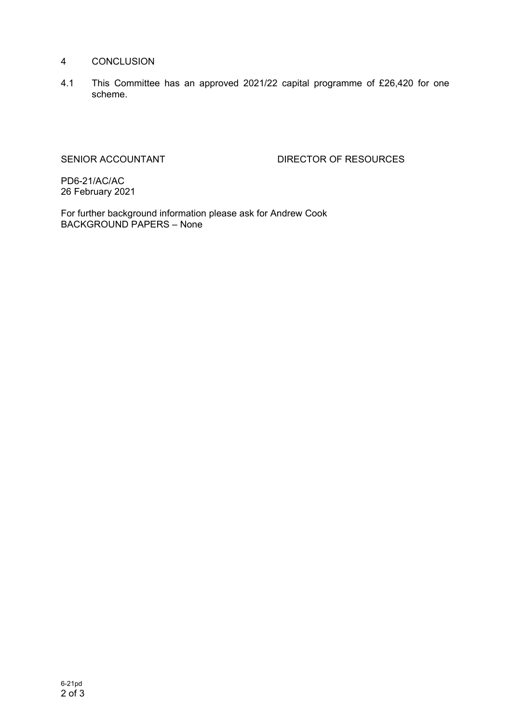### 4 CONCLUSION

4.1 This Committee has an approved 2021/22 capital programme of £26,420 for one scheme.

SENIOR ACCOUNTANT DIRECTOR OF RESOURCES

PD6-21/AC/AC 26 February 2021

For further background information please ask for Andrew Cook BACKGROUND PAPERS – None